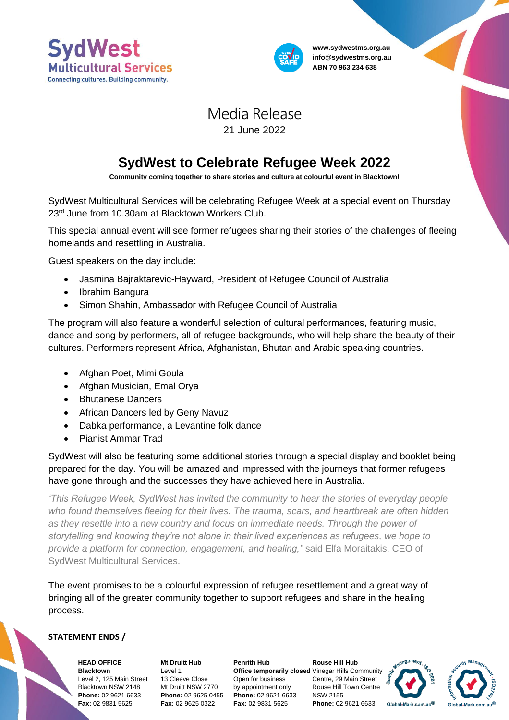



**www.sydwestms.org.au info@sydwestms.org.au ABN 70 963 234 638**

## Media Release 21 June 2022

## **SydWest to Celebrate Refugee Week 2022**

**Community coming together to share stories and culture at colourful event in Blacktown!** 

SydWest Multicultural Services will be celebrating Refugee Week at a special event on Thursday 23<sup>rd</sup> June from 10.30am at Blacktown Workers Club.

This special annual event will see former refugees sharing their stories of the challenges of fleeing homelands and resettling in Australia.

Guest speakers on the day include:

- Jasmina Bajraktarevic-Hayward, President of Refugee Council of Australia
- Ibrahim Bangura
- Simon Shahin, Ambassador with Refugee Council of Australia

The program will also feature a wonderful selection of cultural performances, featuring music, dance and song by performers, all of refugee backgrounds, who will help share the beauty of their cultures. Performers represent Africa, Afghanistan, Bhutan and Arabic speaking countries.

- Afghan Poet, Mimi Goula
- Afghan Musician, Emal Orya
- Bhutanese Dancers
- African Dancers led by Geny Navuz
- Dabka performance, a Levantine folk dance
- Pianist Ammar Trad

SydWest will also be featuring some additional stories through a special display and booklet being prepared for the day. You will be amazed and impressed with the journeys that former refugees have gone through and the successes they have achieved here in Australia.

*'This Refugee Week, SydWest has invited the community to hear the stories of everyday people who found themselves fleeing for their lives. The trauma, scars, and heartbreak are often hidden as they resettle into a new country and focus on immediate needs. Through the power of storytelling and knowing they're not alone in their lived experiences as refugees, we hope to provide a platform for connection, engagement, and healing,"* said Elfa Moraitakis, CEO of SydWest Multicultural Services.

The event promises to be a colourful expression of refugee resettlement and a great way of bringing all of the greater community together to support refugees and share in the healing process.

## **STATEMENT ENDS /**

**HEAD OFFICE Blacktown** Level 2, 125 Main Street Blacktown NSW 2148 **Phone:** 02 9621 6633 **Fax:** 02 9831 5625

**Mt Druitt Hub** Level 1 13 Cleeve Close Mt Druitt NSW 2770 **Phone:** 02 9625 0455 **Fax:** 02 9625 0322

**Penrith Hub** Open for business by appointment only **Phone:** 02 9621 6633 **Fax:** 02 9831 5625

**Office temporarily closed** Vinegar Hills Community **Rouse Hill Hub** Centre, 29 Main Street Rouse Hill Town Centre NSW 2155 **Phone:** 02 9621 6633